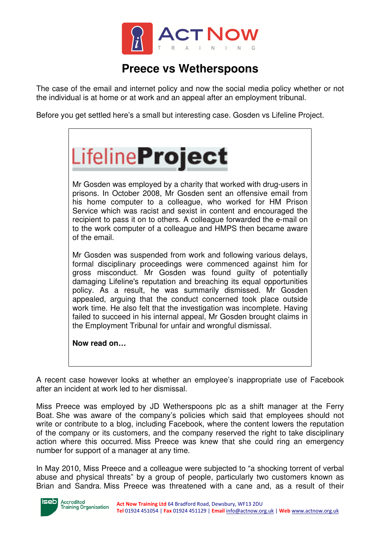

## **Preece vs Wetherspoons**

The case of the email and internet policy and now the social media policy whether or not the individual is at home or at work and an appeal after an employment tribunal.

Before you get settled here's a small but interesting case. Gosden vs Lifeline Project.



Mr Gosden was employed by a charity that worked with drug-users in prisons. In October 2008, Mr Gosden sent an offensive email from his home computer to a colleague, who worked for HM Prison Service which was racist and sexist in content and encouraged the recipient to pass it on to others. A colleague forwarded the e-mail on to the work computer of a colleague and HMPS then became aware of the email.

Mr Gosden was suspended from work and following various delays, formal disciplinary proceedings were commenced against him for gross misconduct. Mr Gosden was found guilty of potentially damaging Lifeline's reputation and breaching its equal opportunities policy. As a result, he was summarily dismissed. Mr Gosden appealed, arguing that the conduct concerned took place outside work time. He also felt that the investigation was incomplete. Having failed to succeed in his internal appeal, Mr Gosden brought claims in the Employment Tribunal for unfair and wrongful dismissal.

**Now read on…**

A recent case however looks at whether an employee's inappropriate use of Facebook after an incident at work led to her dismissal.

Miss Preece was employed by JD Wetherspoons plc as a shift manager at the Ferry Boat. She was aware of the company's policies which said that employees should not write or contribute to a blog, including Facebook, where the content lowers the reputation of the company or its customers, and the company reserved the right to take disciplinary action where this occurred. Miss Preece was knew that she could ring an emergency number for support of a manager at any time.

In May 2010, Miss Preece and a colleague were subjected to "a shocking torrent of verbal abuse and physical threats" by a group of people, particularly two customers known as Brian and Sandra. Miss Preece was threatened with a cane and, as a result of their



Accredited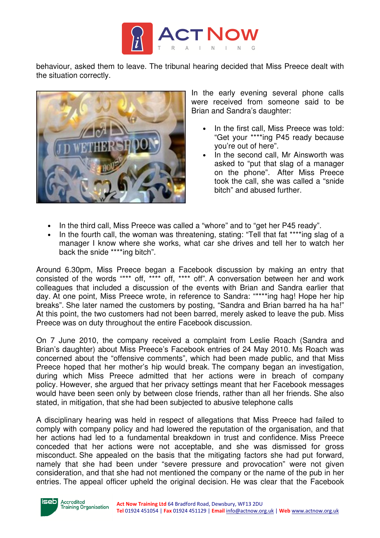

behaviour, asked them to leave. The tribunal hearing decided that Miss Preece dealt with the situation correctly.



In the early evening several phone calls were received from someone said to be Brian and Sandra's daughter:

- In the first call, Miss Preece was told: "Get your \*\*\*\*ing P45 ready because you're out of here".
- In the second call, Mr Ainsworth was asked to "put that slag of a manager on the phone". After Miss Preece took the call, she was called a "snide bitch" and abused further.
- In the third call, Miss Preece was called a "whore" and to "get her P45 ready".
- In the fourth call, the woman was threatening, stating: "Tell that fat \*\*\*\*ing slag of a manager I know where she works, what car she drives and tell her to watch her back the snide \*\*\*\*ing bitch".

Around 6.30pm, Miss Preece began a Facebook discussion by making an entry that consisted of the words "\*\*\* off, \*\*\*\* off, \*\*\*\* off". A conversation between her and work colleagues that included a discussion of the events with Brian and Sandra earlier that day. At one point, Miss Preece wrote, in reference to Sandra: "\*\*\*\*ing hag! Hope her hip breaks". She later named the customers by posting, "Sandra and Brian barred ha ha ha!" At this point, the two customers had not been barred, merely asked to leave the pub. Miss Preece was on duty throughout the entire Facebook discussion.

On 7 June 2010, the company received a complaint from Leslie Roach (Sandra and Brian's daughter) about Miss Preece's Facebook entries of 24 May 2010. Ms Roach was concerned about the "offensive comments", which had been made public, and that Miss Preece hoped that her mother's hip would break. The company began an investigation, during which Miss Preece admitted that her actions were in breach of company policy. However, she argued that her privacy settings meant that her Facebook messages would have been seen only by between close friends, rather than all her friends. She also stated, in mitigation, that she had been subjected to abusive telephone calls

A disciplinary hearing was held in respect of allegations that Miss Preece had failed to comply with company policy and had lowered the reputation of the organisation, and that her actions had led to a fundamental breakdown in trust and confidence. Miss Preece conceded that her actions were not acceptable, and she was dismissed for gross misconduct. She appealed on the basis that the mitigating factors she had put forward, namely that she had been under "severe pressure and provocation" were not given consideration, and that she had not mentioned the company or the name of the pub in her entries. The appeal officer upheld the original decision. He was clear that the Facebook



Accredited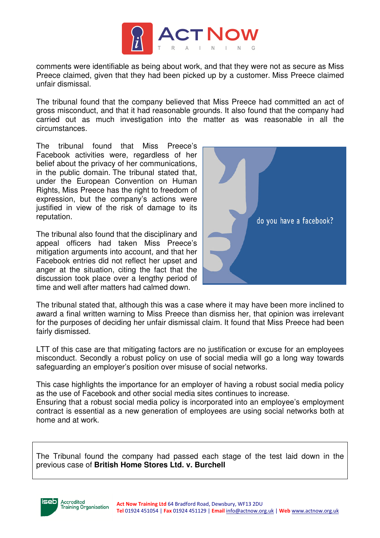

comments were identifiable as being about work, and that they were not as secure as Miss Preece claimed, given that they had been picked up by a customer. Miss Preece claimed unfair dismissal.

The tribunal found that the company believed that Miss Preece had committed an act of gross misconduct, and that it had reasonable grounds. It also found that the company had carried out as much investigation into the matter as was reasonable in all the circumstances.

The tribunal found that Miss Preece's Facebook activities were, regardless of her belief about the privacy of her communications, in the public domain. The tribunal stated that, under the European Convention on Human Rights, Miss Preece has the right to freedom of expression, but the company's actions were justified in view of the risk of damage to its reputation.

The tribunal also found that the disciplinary and appeal officers had taken Miss Preece's mitigation arguments into account, and that her Facebook entries did not reflect her upset and anger at the situation, citing the fact that the discussion took place over a lengthy period of time and well after matters had calmed down.



The tribunal stated that, although this was a case where it may have been more inclined to award a final written warning to Miss Preece than dismiss her, that opinion was irrelevant for the purposes of deciding her unfair dismissal claim. It found that Miss Preece had been fairly dismissed.

LTT of this case are that mitigating factors are no justification or excuse for an employees misconduct. Secondly a robust policy on use of social media will go a long way towards safeguarding an employer's position over misuse of social networks.

This case highlights the importance for an employer of having a robust social media policy as the use of Facebook and other social media sites continues to increase.

Ensuring that a robust social media policy is incorporated into an employee's employment contract is essential as a new generation of employees are using social networks both at home and at work.

The Tribunal found the company had passed each stage of the test laid down in the previous case of **British Home Stores Ltd. v. Burchell**